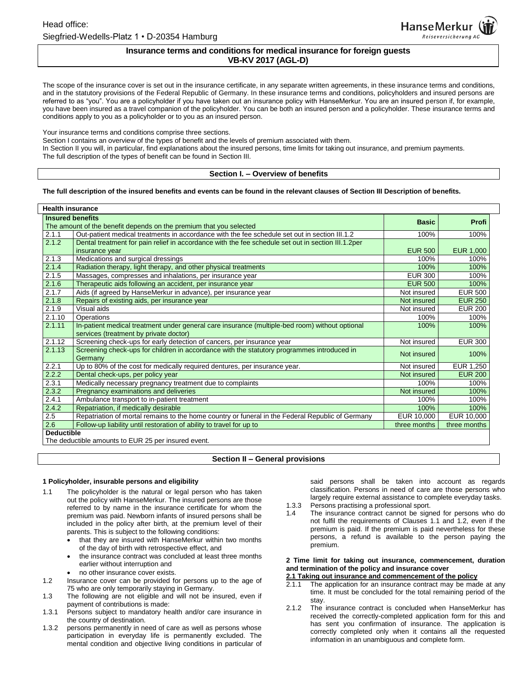## **Insurance terms and conditions for medical insurance for foreign guests VB-KV 2017 (AGL-D)**

The scope of the insurance cover is set out in the insurance certificate, in any separate written agreements, in these insurance terms and conditions, and in the statutory provisions of the Federal Republic of Germany. In these insurance terms and conditions, policyholders and insured persons are referred to as "you". You are a policyholder if you have taken out an insurance policy with HanseMerkur. You are an insured person if, for example, you have been insured as a travel companion of the policyholder. You can be both an insured person and a policyholder. These insurance terms and conditions apply to you as a policyholder or to you as an insured person.

Your insurance terms and conditions comprise three sections.

Section I contains an overview of the types of benefit and the levels of premium associated with them.

In Section II you will, in particular, find explanations about the insured persons, time limits for taking out insurance, and premium payments. The full description of the types of benefit can be found in Section III.

**Section I. – Overview of benefits**

#### **The full description of the insured benefits and events can be found in the relevant clauses of Section III Description of benefits.**

| <b>Health insurance</b>                                            |                                                                                                    |                |                |
|--------------------------------------------------------------------|----------------------------------------------------------------------------------------------------|----------------|----------------|
| <b>Insured benefits</b>                                            |                                                                                                    | <b>Basic</b>   | <b>Profi</b>   |
| The amount of the benefit depends on the premium that you selected |                                                                                                    |                |                |
| 2.1.1                                                              | Out-patient medical treatments in accordance with the fee schedule set out in section III.1.2      | 100%           | 100%           |
| 2.1.2                                                              | Dental treatment for pain relief in accordance with the fee schedule set out in section III.1.2per |                |                |
|                                                                    | insurance year                                                                                     | <b>EUR 500</b> | EUR 1,000      |
| 2.1.3                                                              | Medications and surgical dressings                                                                 | 100%           | 100%           |
| 2.1.4                                                              | Radiation therapy, light therapy, and other physical treatments                                    | 100%           | 100%           |
| 2.1.5                                                              | Massages, compresses and inhalations, per insurance year                                           | <b>EUR 300</b> | 100%           |
| 2.1.6                                                              | Therapeutic aids following an accident, per insurance year                                         | <b>EUR 500</b> | 100%           |
| 2.1.7                                                              | Aids (if agreed by HanseMerkur in advance), per insurance year                                     | Not insured    | <b>EUR 500</b> |
| 2.1.8                                                              | Repairs of existing aids, per insurance year                                                       | Not insured    | <b>EUR 250</b> |
| 2.1.9                                                              | Visual aids                                                                                        | Not insured    | <b>EUR 200</b> |
| 2.1.10                                                             | <b>Operations</b>                                                                                  | 100%           | 100%           |
| 2.1.11                                                             | In-patient medical treatment under general care insurance (multiple-bed room) without optional     | 100%           | 100%           |
|                                                                    | services (treatment by private doctor)                                                             |                |                |
| 2.1.12                                                             | Screening check-ups for early detection of cancers, per insurance year                             | Not insured    | <b>EUR 300</b> |
| 2.1.13                                                             | Screening check-ups for children in accordance with the statutory programmes introduced in         | Not insured    | 100%           |
|                                                                    | Germany                                                                                            |                |                |
| 2.2.1                                                              | Up to 80% of the cost for medically required dentures, per insurance year.                         | Not insured    | EUR 1,250      |
| 2.2.2                                                              | Dental check-ups, per policy year                                                                  | Not insured    | <b>EUR 200</b> |
| 2.3.1                                                              | Medically necessary pregnancy treatment due to complaints                                          | 100%           | 100%           |
| 2.3.2                                                              | Pregnancy examinations and deliveries                                                              | Not insured    | 100%           |
| 2.4.1                                                              | Ambulance transport to in-patient treatment                                                        | 100%           | 100%           |
| 2.4.2                                                              | Repatriation, if medically desirable                                                               | 100%           | 100%           |
| 2.5                                                                | Repatriation of mortal remains to the home country or funeral in the Federal Republic of Germany   | EUR 10,000     | EUR 10,000     |
| 2.6                                                                | Follow-up liability until restoration of ability to travel for up to                               | three months   | three months   |
| <b>Deductible</b>                                                  |                                                                                                    |                |                |
| The deductible amounts to EUR 25 per insured event.                |                                                                                                    |                |                |

## **Section II – General provisions**

## **1 Policyholder, insurable persons and eligibility**

- 1.1 The policyholder is the natural or legal person who has taken out the policy with HanseMerkur. The insured persons are those referred to by name in the insurance certificate for whom the premium was paid. Newborn infants of insured persons shall be included in the policy after birth, at the premium level of their parents. This is subject to the following conditions:
	- that they are insured with HanseMerkur within two months of the day of birth with retrospective effect, and
	- the insurance contract was concluded at least three months earlier without interruption and
	- no other insurance cover exists.
- 1.2 Insurance cover can be provided for persons up to the age of 75 who are only temporarily staying in Germany.
- 1.3 The following are not eligible and will not be insured, even if payment of contributions is made:
- 1.3.1 Persons subject to mandatory health and/or care insurance in the country of destination.
- 1.3.2 persons permanently in need of care as well as persons whose participation in everyday life is permanently excluded. The mental condition and objective living conditions in particular of

said persons shall be taken into account as regards classification. Persons in need of care are those persons who largely require external assistance to complete everyday tasks.

- 1.3.3 Persons practising a professional sport.
- 1.4 The insurance contract cannot be signed for persons who do not fulfil the requirements of Clauses 1.1 and 1.2, even if the premium is paid. If the premium is paid nevertheless for these persons, a refund is available to the person paying the premium.

## **2 Time limit for taking out insurance, commencement, duration and termination of the policy and insurance cover**

# **2.1 Taking out insurance and commencement of the policy**<br>**2.1.1** The application for an insurance contract may be mac

- The application for an insurance contract may be made at any time. It must be concluded for the total remaining period of the stay.
- 2.1.2 The insurance contract is concluded when HanseMerkur has received the correctly-completed application form for this and has sent you confirmation of insurance. The application is correctly completed only when it contains all the requested information in an unambiguous and complete form.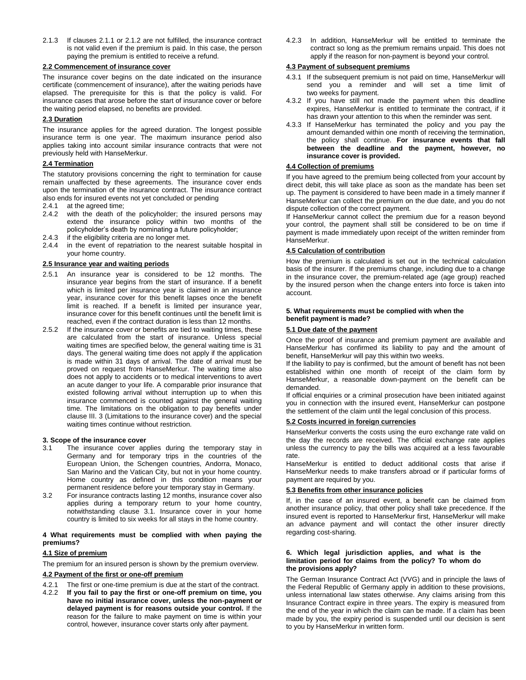2.1.3 If clauses 2.1.1 or 2.1.2 are not fulfilled, the insurance contract is not valid even if the premium is paid. In this case, the person paying the premium is entitled to receive a refund.

#### **2.2 Commencement of insurance cover**

The insurance cover begins on the date indicated on the insurance certificate (commencement of insurance), after the waiting periods have elapsed. The prerequisite for this is that the policy is valid. For insurance cases that arose before the start of insurance cover or before the waiting period elapsed, no benefits are provided.

## **2.3 Duration**

The insurance applies for the agreed duration. The longest possible insurance term is one year. The maximum insurance period also applies taking into account similar insurance contracts that were not previously held with HanseMerkur.

## **2.4 Termination**

The statutory provisions concerning the right to termination for cause remain unaffected by these agreements. The insurance cover ends upon the termination of the insurance contract. The insurance contract also ends for insured events not yet concluded or pending

- 2.4.1 at the agreed time;
- 2.4.2 with the death of the policyholder; the insured persons may extend the insurance policy within two months of the policyholder's death by nominating a future policyholder;
- 2.4.3 if the eligibility criteria are no longer met.
- 2.4.4 in the event of repatriation to the nearest suitable hospital in your home country.

#### **2.5 Insurance year and waiting periods**

- 2.5.1 An insurance year is considered to be 12 months. The insurance year begins from the start of insurance. If a benefit which is limited per insurance year is claimed in an insurance year, insurance cover for this benefit lapses once the benefit limit is reached. If a benefit is limited per insurance year, insurance cover for this benefit continues until the benefit limit is reached, even if the contract duration is less than 12 months.
- 2.5.2 If the insurance cover or benefits are tied to waiting times, these are calculated from the start of insurance. Unless special waiting times are specified below, the general waiting time is 31 days. The general waiting time does not apply if the application is made within 31 days of arrival. The date of arrival must be proved on request from HanseMerkur. The waiting time also does not apply to accidents or to medical interventions to avert an acute danger to your life. A comparable prior insurance that existed following arrival without interruption up to when this insurance commenced is counted against the general waiting time. The limitations on the obligation to pay benefits under clause III. 3 (Limitations to the insurance cover) and the special waiting times continue without restriction.

#### **3. Scope of the insurance cover**

- 3.1 The insurance cover applies during the temporary stay in Germany and for temporary trips in the countries of the European Union, the Schengen countries, Andorra, Monaco, San Marino and the Vatican City, but not in your home country. Home country as defined in this condition means your permanent residence before your temporary stay in Germany.
- 3.2 For insurance contracts lasting 12 months, insurance cover also applies during a temporary return to your home country, notwithstanding clause 3.1. Insurance cover in your home country is limited to six weeks for all stays in the home country.

#### **4 What requirements must be complied with when paying the premiums?**

## **4.1 Size of premium**

The premium for an insured person is shown by the premium overview.

## **4.2 Payment of the first or one-off premium**

- 4.2.1 The first or one-time premium is due at the start of the contract.
- 4.2.2 **If you fail to pay the first or one-off premium on time, you have no initial insurance cover, unless the non-payment or delayed payment is for reasons outside your control.** If the reason for the failure to make payment on time is within your control, however, insurance cover starts only after payment.

4.2.3 In addition, HanseMerkur will be entitled to terminate the contract so long as the premium remains unpaid. This does not apply if the reason for non-payment is beyond your control.

## **4.3 Payment of subsequent premiums**

- 4.3.1 If the subsequent premium is not paid on time, HanseMerkur will send you a reminder and will set a time limit of two weeks for payment.
- 4.3.2 If you have still not made the payment when this deadline expires, HanseMerkur is entitled to terminate the contract, if it has drawn your attention to this when the reminder was sent.
- 4.3.3 If HanseMerkur has terminated the policy and you pay the amount demanded within one month of receiving the termination, the policy shall continue. **For insurance events that fall between the deadline and the payment, however, no insurance cover is provided.**

## **4.4 Collection of premiums**

If you have agreed to the premium being collected from your account by direct debit, this will take place as soon as the mandate has been set up. The payment is considered to have been made in a timely manner if HanseMerkur can collect the premium on the due date, and you do not dispute collection of the correct payment.

If HanseMerkur cannot collect the premium due for a reason beyond your control, the payment shall still be considered to be on time if payment is made immediately upon receipt of the written reminder from HanseMerkur.

#### **4.5 Calculation of contribution**

How the premium is calculated is set out in the technical calculation basis of the insurer. If the premiums change, including due to a change in the insurance cover, the premium-related age (age group) reached by the insured person when the change enters into force is taken into account.

#### **5. What requirements must be complied with when the benefit payment is made?**

## **5.1 Due date of the payment**

Once the proof of insurance and premium payment are available and HanseMerkur has confirmed its liability to pay and the amount of benefit, HanseMerkur will pay this within two weeks.

If the liability to pay is confirmed, but the amount of benefit has not been established within one month of receipt of the claim form by HanseMerkur, a reasonable down-payment on the benefit can be demanded.

If official enquiries or a criminal prosecution have been initiated against you in connection with the insured event, HanseMerkur can postpone the settlement of the claim until the legal conclusion of this process.

#### **5.2 Costs incurred in foreign currencies**

HanseMerkur converts the costs using the euro exchange rate valid on the day the records are received. The official exchange rate applies unless the currency to pay the bills was acquired at a less favourable rate.

HanseMerkur is entitled to deduct additional costs that arise if HanseMerkur needs to make transfers abroad or if particular forms of payment are required by you.

#### **5.3 Benefits from other insurance policies**

If, in the case of an insured event, a benefit can be claimed from another insurance policy, that other policy shall take precedence. If the insured event is reported to HanseMerkur first, HanseMerkur will make an advance payment and will contact the other insurer directly regarding cost-sharing.

#### **6. Which legal jurisdiction applies, and what is the limitation period for claims from the policy? To whom do the provisions apply?**

The German Insurance Contract Act (VVG) and in principle the laws of the Federal Republic of Germany apply in addition to these provisions, unless international law states otherwise. Any claims arising from this Insurance Contract expire in three years. The expiry is measured from the end of the year in which the claim can be made. If a claim has been made by you, the expiry period is suspended until our decision is sent to you by HanseMerkur in written form.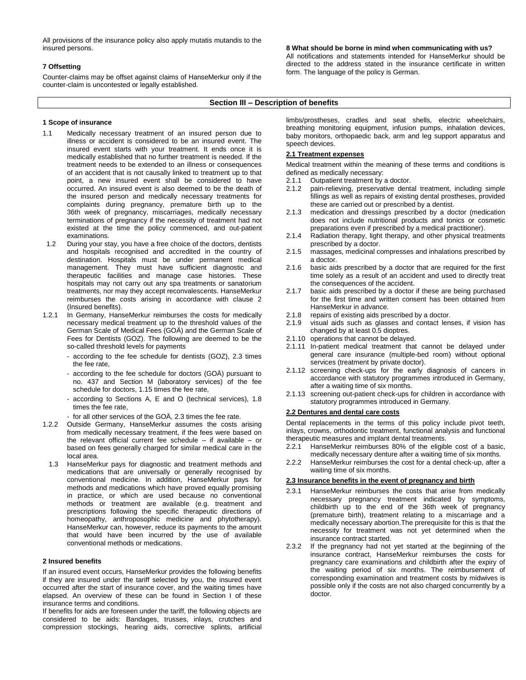All provisions of the insurance policy also apply mutatis mutandis to the insured persons.

#### **7 Offsetting**

Counter-claims may be offset against claims of HanseMerkur only if the counter-claim is uncontested or legally established.

**8 What should be borne in mind when communicating with us?**

All notifications and statements intended for HanseMerkur should be directed to the address stated in the insurance certificate in written form. The language of the policy is German.

#### **Section III – Description of benefits**

#### **1 Scope of insurance**

- 1.1 Medically necessary treatment of an insured person due to illness or accident is considered to be an insured event. The insured event starts with your treatment. It ends once it is medically established that no further treatment is needed. If the treatment needs to be extended to an illness or consequences of an accident that is not causally linked to treatment up to that point, a new insured event shall be considered to have occurred. An insured event is also deemed to be the death of the insured person and medically necessary treatments for complaints during pregnancy, premature birth up to the 36th week of pregnancy, miscarriages, medically necessary terminations of pregnancy if the necessity of treatment had not existed at the time the policy commenced, and out-patient examinations.
- 1.2 During your stay, you have a free choice of the doctors, dentists and hospitals recognised and accredited in the country of destination. Hospitals must be under permanent medical management. They must have sufficient diagnostic and therapeutic facilities and manage case histories. These hospitals may not carry out any spa treatments or sanatorium treatments, nor may they accept reconvalescents. HanseMerkur reimburses the costs arising in accordance with clause 2 (Insured benefits).
- 1.2.1 In Germany, HanseMerkur reimburses the costs for medically necessary medical treatment up to the threshold values of the German Scale of Medical Fees (GOÄ) and the German Scale of Fees for Dentists (GOZ). The following are deemed to be the so-called threshold levels for payments
	- according to the fee schedule for dentists (GOZ), 2.3 times the fee rate,
	- according to the fee schedule for doctors (GOÄ) pursuant to no. 437 and Section M (laboratory services) of the fee schedule for doctors, 1.15 times the fee rate,
	- according to Sections A, E and O (technical services), 1.8 times the fee rate,
	- for all other services of the GOÄ, 2.3 times the fee rate.
- 1.2.2 Outside Germany, HanseMerkur assumes the costs arising from medically necessary treatment, if the fees were based on the relevant official current fee schedule – if available – or based on fees generally charged for similar medical care in the local area.
	- 1.3 HanseMerkur pays for diagnostic and treatment methods and medications that are universally or generally recognised by conventional medicine. In addition, HanseMerkur pays for methods and medications which have proved equally promising in practice, or which are used because no conventional methods or treatment are available (e.g. treatment and prescriptions following the specific therapeutic directions of homeopathy, anthroposophic medicine and phytotherapy). HanseMerkur can, however, reduce its payments to the amount that would have been incurred by the use of available conventional methods or medications.

## **2 Insured benefits**

If an insured event occurs, HanseMerkur provides the following benefits if they are insured under the tariff selected by you, the insured event occurred after the start of insurance cover, and the waiting times have elapsed. An overview of these can be found in Section I of these insurance terms and conditions.

If benefits for aids are foreseen under the tariff, the following objects are considered to be aids: Bandages, trusses, inlays, crutches and compression stockings, hearing aids, corrective splints, artificial limbs/prostheses, cradles and seat shells, electric wheelchairs, breathing monitoring equipment, infusion pumps, inhalation devices, baby monitors, orthopaedic back, arm and leg support apparatus and speech devices.

## **2.1 Treatment expenses**

Medical treatment within the meaning of these terms and conditions is defined as medically necessary:

- 2.1.1 Outpatient treatment by a doctor.
- 2.1.2 pain-relieving, preservative dental treatment, including simple fillings as well as repairs of existing dental prostheses, provided these are carried out or prescribed by a dentist.
- 2.1.3 medication and dressings prescribed by a doctor (medication does not include nutritional products and tonics or cosmetic preparations even if prescribed by a medical practitioner).
- 2.1.4 Radiation therapy, light therapy, and other physical treatments prescribed by a doctor.
- 2.1.5 massages, medicinal compresses and inhalations prescribed by a doctor.
- 2.1.6 basic aids prescribed by a doctor that are required for the first time solely as a result of an accident and used to directly treat the consequences of the accident.
- 2.1.7 basic aids prescribed by a doctor if these are being purchased for the first time and written consent has been obtained from HanseMerkur in advance.
- 2.1.8 repairs of existing aids prescribed by a doctor.
- 2.1.9 visual aids such as glasses and contact lenses, if vision has changed by at least 0.5 dioptres.
- 2.1.10 operations that cannot be delayed.
- 2.1.11 In-patient medical treatment that cannot be delayed under general care insurance (multiple-bed room) without optional services (treatment by private doctor).
- 2.1.12 screening check-ups for the early diagnosis of cancers in accordance with statutory programmes introduced in Germany, after a waiting time of six months.
- 2.1.13 screening out-patient check-ups for children in accordance with statutory programmes introduced in Germany.

#### **2.2 Dentures and dental care costs**

Dental replacements in the terms of this policy include pivot teeth, inlays, crowns, orthodontic treatment, functional analysis and functional therapeutic measures and implant dental treatments.

- 2.2.1 HanseMerkur reimburses 80% of the eligible cost of a basic, medically necessary denture after a waiting time of six months.
- 2.2.2 HanseMerkur reimburses the cost for a dental check-up, after a waiting time of six months.

#### **2.3 Insurance benefits in the event of pregnancy and birth**

- 2.3.1 HanseMerkur reimburses the costs that arise from medically necessary pregnancy treatment indicated by symptoms, childbirth up to the end of the 36th week of pregnancy (premature birth), treatment relating to a miscarriage and a medically necessary abortion.The prerequisite for this is that the necessity for treatment was not yet determined when the insurance contract started.
- 2.3.2 If the pregnancy had not yet started at the beginning of the insurance contract, HanseMerkur reimburses the costs for pregnancy care examinations and childbirth after the expiry of the waiting period of six months. The reimbursement of corresponding examination and treatment costs by midwives is possible only if the costs are not also charged concurrently by a doctor.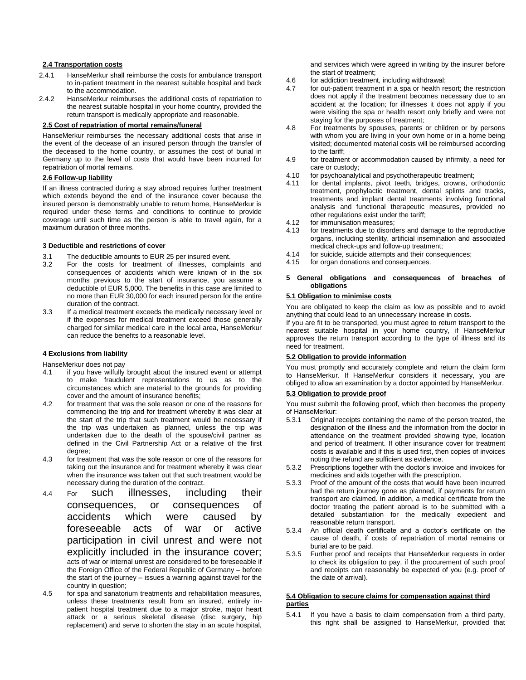#### **2.4 Transportation costs**

- 2.4.1 HanseMerkur shall reimburse the costs for ambulance transport to in-patient treatment in the nearest suitable hospital and back to the accommodation.
- 2.4.2 HanseMerkur reimburses the additional costs of repatriation to the nearest suitable hospital in your home country, provided the return transport is medically appropriate and reasonable.

#### **2.5 Cost of repatriation of mortal remains/funeral**

HanseMerkur reimburses the necessary additional costs that arise in the event of the decease of an insured person through the transfer of the deceased to the home country, or assumes the cost of burial in Germany up to the level of costs that would have been incurred for repatriation of mortal remains.

#### **2.6 Follow-up liability**

If an illness contracted during a stay abroad requires further treatment which extends beyond the end of the insurance cover because the insured person is demonstrably unable to return home, HanseMerkur is required under these terms and conditions to continue to provide coverage until such time as the person is able to travel again, for a maximum duration of three months.

#### **3 Deductible and restrictions of cover**

- 3.1 The deductible amounts to EUR 25 per insured event.<br>3.2 For the costs for treatment of illnesses compla
- For the costs for treatment of illnesses, complaints and consequences of accidents which were known of in the six months previous to the start of insurance, you assume a deductible of EUR 5,000. The benefits in this case are limited to no more than EUR 30,000 for each insured person for the entire duration of the contract.
- 3.3 If a medical treatment exceeds the medically necessary level or if the expenses for medical treatment exceed those generally charged for similar medical care in the local area, HanseMerkur can reduce the benefits to a reasonable level.

## **4 Exclusions from liability**

HanseMerkur does not pay

- 4.1 if you have wilfully brought about the insured event or attempt to make fraudulent representations to us as to the circumstances which are material to the grounds for providing cover and the amount of insurance benefits;
- 4.2 for treatment that was the sole reason or one of the reasons for commencing the trip and for treatment whereby it was clear at the start of the trip that such treatment would be necessary if the trip was undertaken as planned, unless the trip was undertaken due to the death of the spouse/civil partner as defined in the Civil Partnership Act or a relative of the first degree;
- 4.3 for treatment that was the sole reason or one of the reasons for taking out the insurance and for treatment whereby it was clear when the insurance was taken out that such treatment would be necessary during the duration of the contract.
- 4.4 For such illnesses, including their consequences, or consequences of accidents which were caused by foreseeable acts of war or active participation in civil unrest and were not explicitly included in the insurance cover; acts of war or internal unrest are considered to be foreseeable if the Foreign Office of the Federal Republic of Germany – before the start of the journey – issues a warning against travel for the country in question;
- 4.5 for spa and sanatorium treatments and rehabilitation measures, unless these treatments result from an insured, entirely inpatient hospital treatment due to a major stroke, major heart attack or a serious skeletal disease (disc surgery, hip replacement) and serve to shorten the stay in an acute hospital,

and services which were agreed in writing by the insurer before the start of treatment;

- 4.6 for addiction treatment, including withdrawal;
- 4.7 for out-patient treatment in a spa or health resort; the restriction does not apply if the treatment becomes necessary due to an accident at the location; for illnesses it does not apply if you were visiting the spa or health resort only briefly and were not staying for the purposes of treatment;
- 4.8 For treatments by spouses, parents or children or by persons with whom you are living in your own home or in a home being visited; documented material costs will be reimbursed according to the tariff;
- 4.9 for treatment or accommodation caused by infirmity, a need for care or custody;
- 4.10 for psychoanalytical and psychotherapeutic treatment;<br>4.11 for dental implants, pivot teeth, bridges, crowns, o
- for dental implants, pivot teeth, bridges, crowns, orthodontic treatment, prophylactic treatment, dental splints and tracks, treatments and implant dental treatments involving functional analysis and functional therapeutic measures, provided no other regulations exist under the tariff;
- 4.12 for immunisation measures;
- 4.13 for treatments due to disorders and damage to the reproductive organs, including sterility, artificial insemination and associated medical check-ups and follow-up treatment;
- 4.14 for suicide, suicide attempts and their consequences;
- 4.15 for organ donations and consequences.

#### **5 General obligations and consequences of breaches of obligations**

## **5.1 Obligation to minimise costs**

You are obligated to keep the claim as low as possible and to avoid anything that could lead to an unnecessary increase in costs.

If you are fit to be transported, you must agree to return transport to the nearest suitable hospital in your home country, if HanseMerkur approves the return transport according to the type of illness and its need for treatment.

#### **5.2 Obligation to provide information**

You must promptly and accurately complete and return the claim form to HanseMerkur. If HanseMerkur considers it necessary, you are obliged to allow an examination by a doctor appointed by HanseMerkur.

#### **5.3 Obligation to provide proof**

You must submit the following proof, which then becomes the property of HanseMerkur:

- 5.3.1 Original receipts containing the name of the person treated, the designation of the illness and the information from the doctor in attendance on the treatment provided showing type, location and period of treatment. If other insurance cover for treatment costs is available and if this is used first, then copies of invoices noting the refund are sufficient as evidence.
- 5.3.2 Prescriptions together with the doctor's invoice and invoices for medicines and aids together with the prescription.
- 5.3.3 Proof of the amount of the costs that would have been incurred had the return journey gone as planned, if payments for return transport are claimed. In addition, a medical certificate from the doctor treating the patient abroad is to be submitted with a detailed substantiation for the medically expedient and reasonable return transport.
- 5.3.4 An official death certificate and a doctor's certificate on the cause of death, if costs of repatriation of mortal remains or burial are to be paid.
- 5.3.5 Further proof and receipts that HanseMerkur requests in order to check its obligation to pay, if the procurement of such proof and receipts can reasonably be expected of you (e.g. proof of the date of arrival).

#### **5.4 Obligation to secure claims for compensation against third parties**

5.4.1 If you have a basis to claim compensation from a third party, this right shall be assigned to HanseMerkur, provided that